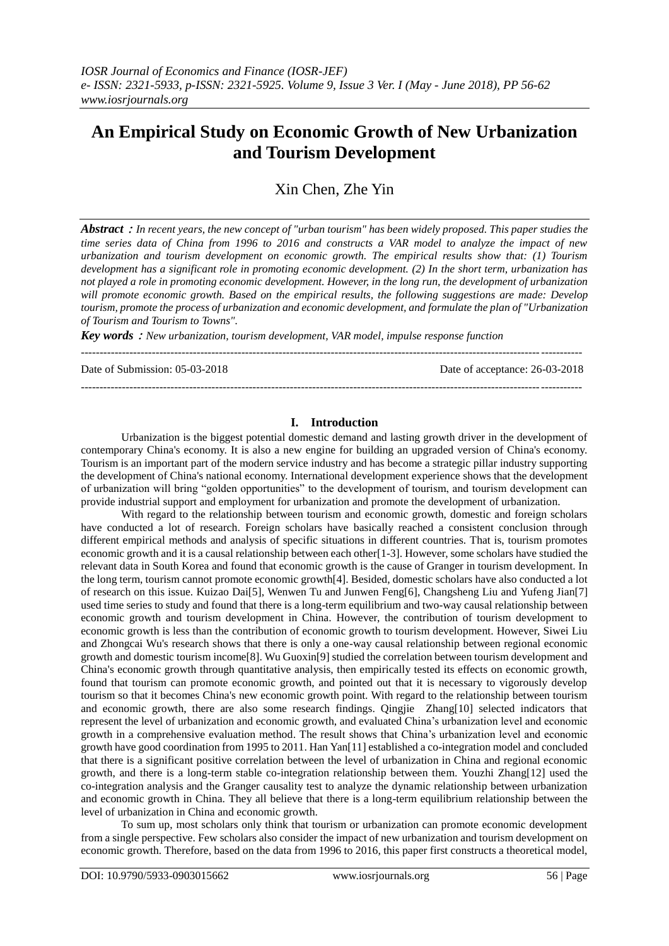# **An Empirical Study on Economic Growth of New Urbanization and Tourism Development**

Xin Chen, Zhe Yin

*Abstract*:*In recent years, the new concept of "urban tourism" has been widely proposed. This paper studies the time series data of China from 1996 to 2016 and constructs a VAR model to analyze the impact of new urbanization and tourism development on economic growth. The empirical results show that: (1) Tourism development has a significant role in promoting economic development. (2) In the short term, urbanization has not played a role in promoting economic development. However, in the long run, the development of urbanization will promote economic growth. Based on the empirical results, the following suggestions are made: Develop tourism, promote the process of urbanization and economic development, and formulate the plan of "Urbanization of Tourism and Tourism to Towns".*

*--------------------------------------------------------------------------------------------------------------------------------------*

*Key words*:*New urbanization, tourism development, VAR model, impulse response function*

Date of Submission: 05-03-2018 Date of acceptance: 26-03-2018

# **I. Introduction**

--------------------------------------------------------------------------------------------------------------------------------------

Urbanization is the biggest potential domestic demand and lasting growth driver in the development of contemporary China's economy. It is also a new engine for building an upgraded version of China's economy. Tourism is an important part of the modern service industry and has become a strategic pillar industry supporting the development of China's national economy. International development experience shows that the development of urbanization will bring "golden opportunities" to the development of tourism, and tourism development can provide industrial support and employment for urbanization and promote the development of urbanization.

With regard to the relationship between tourism and economic growth, domestic and foreign scholars have conducted a lot of research. Foreign scholars have basically reached a consistent conclusion through different empirical methods and analysis of specific situations in different countries. That is, tourism promotes economic growth and it is a causal relationship between each other[1-3]. However, some scholars have studied the relevant data in South Korea and found that economic growth is the cause of Granger in tourism development. In the long term, tourism cannot promote economic growth[4]. Besided, domestic scholars have also conducted a lot of research on this issue. Kuizao Dai[5], Wenwen Tu and Junwen Feng[6], Changsheng Liu and Yufeng Jian[7] used time series to study and found that there is a long-term equilibrium and two-way causal relationship between economic growth and tourism development in China. However, the contribution of tourism development to economic growth is less than the contribution of economic growth to tourism development. However, Siwei Liu and Zhongcai Wu's research shows that there is only a one-way causal relationship between regional economic growth and domestic tourism income[8]. Wu Guoxin[9] studied the correlation between tourism development and China's economic growth through quantitative analysis, then empirically tested its effects on economic growth, found that tourism can promote economic growth, and pointed out that it is necessary to vigorously develop tourism so that it becomes China's new economic growth point. With regard to the relationship between tourism and economic growth, there are also some research findings. Qingjie Zhang[10] selected indicators that represent the level of urbanization and economic growth, and evaluated China's urbanization level and economic growth in a comprehensive evaluation method. The result shows that China's urbanization level and economic growth have good coordination from 1995 to 2011. Han Yan[11] established a co-integration model and concluded that there is a significant positive correlation between the level of urbanization in China and regional economic growth, and there is a long-term stable co-integration relationship between them. Youzhi Zhang[12] used the co-integration analysis and the Granger causality test to analyze the dynamic relationship between urbanization and economic growth in China. They all believe that there is a long-term equilibrium relationship between the level of urbanization in China and economic growth.

To sum up, most scholars only think that tourism or urbanization can promote economic development from a single perspective. Few scholars also consider the impact of new urbanization and tourism development on economic growth. Therefore, based on the data from 1996 to 2016, this paper first constructs a theoretical model,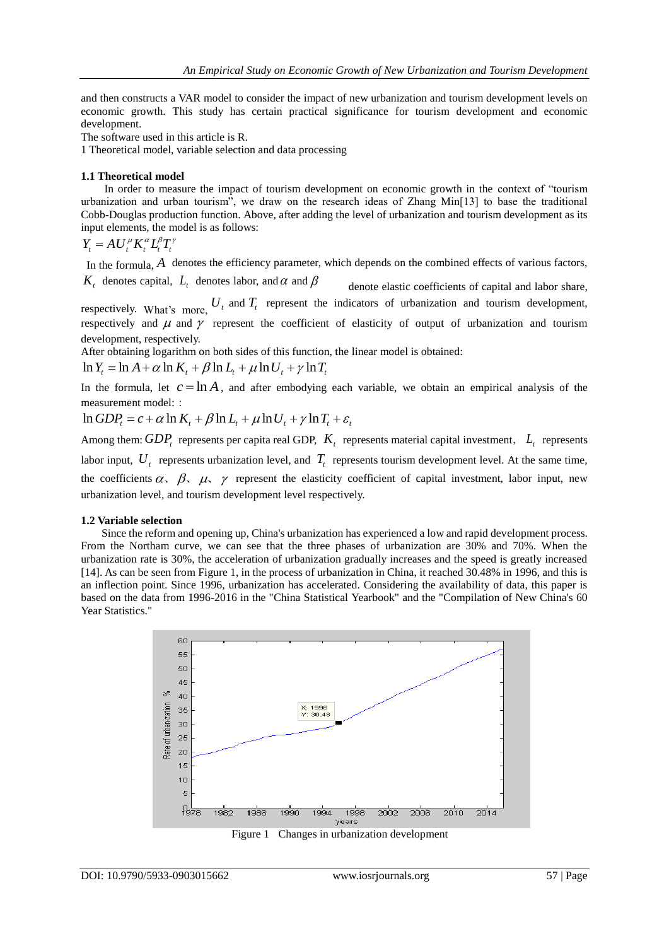and then constructs a VAR model to consider the impact of new urbanization and tourism development levels on economic growth. This study has certain practical significance for tourism development and economic development.

The software used in this article is R.

1 Theoretical model, variable selection and data processing

## **1.1 Theoretical model**

In order to measure the impact of tourism development on economic growth in the context of "tourism urbanization and urban tourism", we draw on the research ideas of Zhang Min[13] to base the traditional Cobb-Douglas production function. Above, after adding the level of urbanization and tourism development as its input elements, the model is as follows:

$$
Y_t = A U_t^{\mu} K_t^{\alpha} L_t^{\beta} T_t^{\gamma}
$$

In the formula, A denotes the efficiency parameter, which depends on the combined effects of various factors,  $K_t$  denotes capital,  $L_t$  denotes labor, and  $\alpha$  and  $\beta$ 

 denote elastic coefficients of capital and labor share, respectively. What's more,  $U_t$  and  $T_t$  represent the indicators of urbanization and tourism development, respectively and  $\mu$  and  $\gamma$  represent the coefficient of elasticity of output of urbanization and tourism development, respectively.

After obtaining logarithm on both sides of this function, the linear model is obtained:

development, respectively.<br>After obtaining logarithm on both sides of this function, t<br> $\ln Y_t = \ln A + \alpha \ln K_t + \beta \ln L_t + \mu \ln U_t + \gamma \ln T_t$ 

In the formula, let  $c = \ln A$ , and after embodying each variable, we obtain an empirical analysis of the measurement model: :

 $\ln GDP_r = c + \alpha \ln K_r + \beta \ln L_r + \mu \ln U_r + \gamma \ln T_r + \varepsilon_r$ 

Among them:  $GDP_t$  represents per capita real GDP,  $K_t$  represents material capital investment,  $L_t$  represents labor input,  $U_t$  represents urbanization level, and  $T_t$  represents tourism development level. At the same time, the coefficients  $\alpha$ ,  $\beta$ ,  $\mu$ ,  $\gamma$  represent the elasticity coefficient of capital investment, labor input, new urbanization level, and tourism development level respectively.

#### **1.2 Variable selection**

Since the reform and opening up, China's urbanization has experienced a low and rapid development process. From the Northam curve, we can see that the three phases of urbanization are 30% and 70%. When the urbanization rate is 30%, the acceleration of urbanization gradually increases and the speed is greatly increased [14]. As can be seen from Figure 1, in the process of urbanization in China, it reached 30.48% in 1996, and this is an inflection point. Since 1996, urbanization has accelerated. Considering the availability of data, this paper is based on the data from 1996-2016 in the "China Statistical Yearbook" and the "Compilation of New China's 60 Year Statistics."

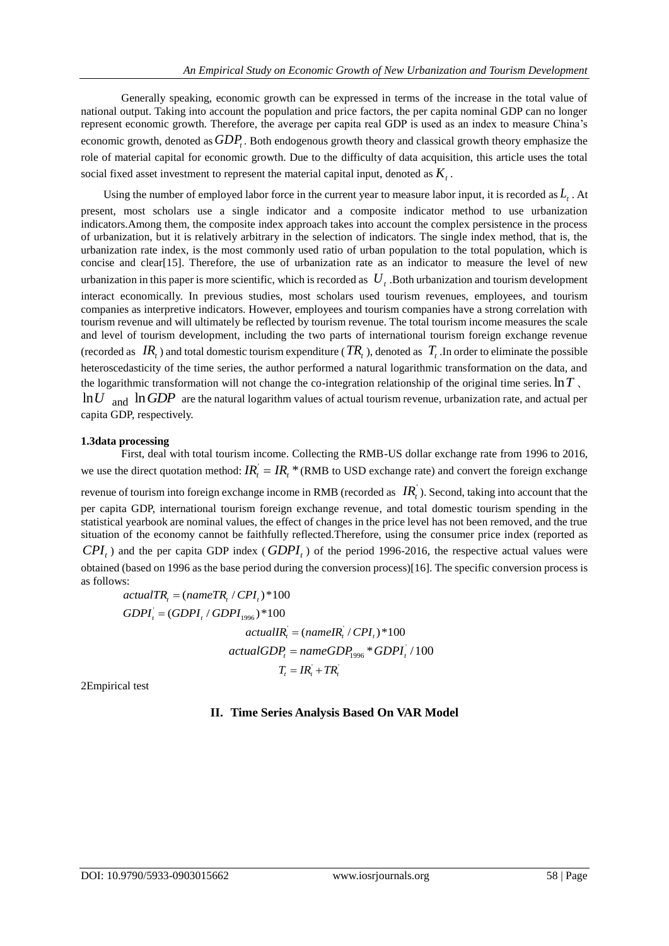Generally speaking, economic growth can be expressed in terms of the increase in the total value of national output. Taking into account the population and price factors, the per capita nominal GDP can no longer represent economic growth. Therefore, the average per capita real GDP is used as an index to measure China's economic growth, denoted as  $GDP_t$ . Both endogenous growth theory and classical growth theory emphasize the role of material capital for economic growth. Due to the difficulty of data acquisition, this article uses the total social fixed asset investment to represent the material capital input, denoted as  $K<sub>t</sub>$ .

Using the number of employed labor force in the current year to measure labor input, it is recorded as *Lt* . At present, most scholars use a single indicator and a composite indicator method to use urbanization indicators.Among them, the composite index approach takes into account the complex persistence in the process of urbanization, but it is relatively arbitrary in the selection of indicators. The single index method, that is, the urbanization rate index, is the most commonly used ratio of urban population to the total population, which is concise and clear[15]. Therefore, the use of urbanization rate as an indicator to measure the level of new urbanization in this paper is more scientific, which is recorded as  $U_t$ . Both urbanization and tourism development interact economically. In previous studies, most scholars used tourism revenues, employees, and tourism companies as interpretive indicators. However, employees and tourism companies have a strong correlation with tourism revenue and will ultimately be reflected by tourism revenue. The total tourism income measures the scale and level of tourism development, including the two parts of international tourism foreign exchange revenue (recorded as  $IR_t$ ) and total domestic tourism expenditure ( $TR_t$ ), denoted as  $T_t$ . In order to eliminate the possible heteroscedasticity of the time series, the author performed a natural logarithmic transformation on the data, and the logarithmic transformation will not change the co-integration relationship of the original time series. ln*T* 、 ln*U* and ln*GDP* are the natural logarithm values of actual tourism revenue, urbanization rate, and actual per capita GDP, respectively.

# **1.3data processing**

First, deal with total tourism income. Collecting the RMB-US dollar exchange rate from 1996 to 2016, we use the direct quotation method:  $IR_t = IR_t * (RMB)$  to USD exchange rate) and convert the foreign exchange revenue of tourism into foreign exchange income in RMB (recorded as  $IR_t$ ). Second, taking into account that the per capita GDP, international tourism foreign exchange revenue, and total domestic tourism spending in the statistical yearbook are nominal values, the effect of changes in the price level has not been removed, and the true situation of the economy cannot be faithfully reflected.Therefore, using the consumer price index (reported as  $CPI_t$ ) and the per capita GDP index ( $GDPI_t$ ) of the period 1996-2016, the respective actual values were obtained (based on 1996 as the base period during the conversion process)[16]. The specific conversion process is as follows:

 $actualTR_i = (nameTR_i / CPI_i) *100$ '  $GDPI<sub>i</sub> = (GDPI<sub>i</sub> / GDPI<sub>1996</sub>) * 100$  $\int_{\theta=0}^{\theta=0}$   $\int_{-\pi}^{\pi}$  to the transmersion  $IR_{i}^{+}/CPI_{i}$  )  $*100$ '  $actualIR<sub>i</sub> = (nameIR<sub>i</sub> / CPI<sub>i</sub>) * 100$ <br> $actualGDP<sub>i</sub> = nameGDP<sub>1996</sub> * GDPI<sub>i</sub> / 100$  $T_t = IR_t + TR_t$ 

2Empirical test

# **II. Time Series Analysis Based On VAR Model**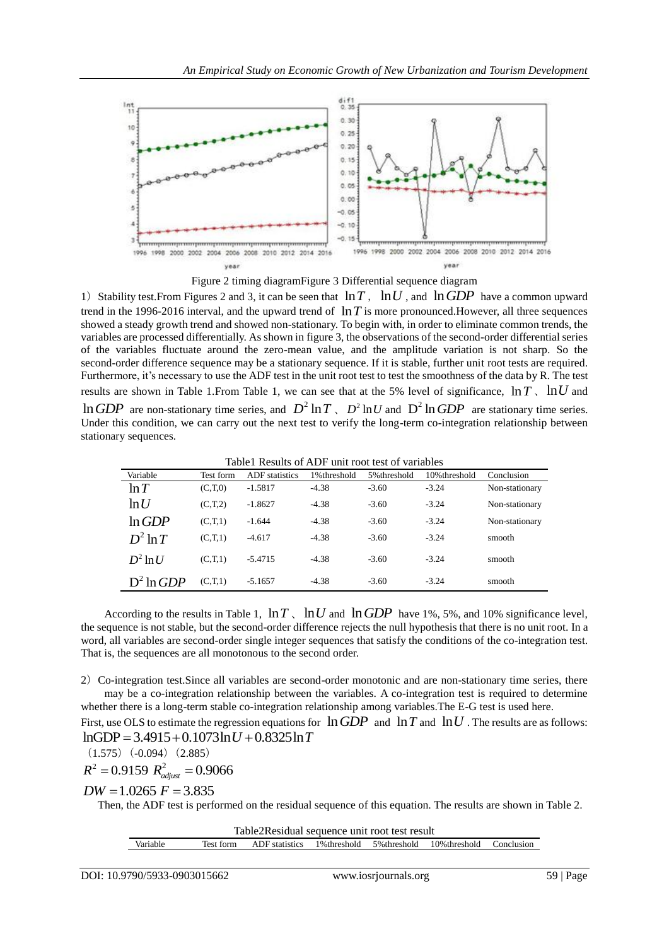

Figure 2 timing diagramFigure 3 Differential sequence diagram

1) Stability test. From Figures 2 and 3, it can be seen that  $\ln T$ ,  $\ln U$ , and  $\ln GDP$  have a common upward trend in the 1996-2016 interval, and the upward trend of  $\ln T$  is more pronounced. However, all three sequences showed a steady growth trend and showed non-stationary. To begin with, in order to eliminate common trends, the variables are processed differentially. As shown in figure 3, the observations of the second-order differential series of the variables fluctuate around the zero-mean value, and the amplitude variation is not sharp. So the second-order difference sequence may be a stationary sequence. If it is stable, further unit root tests are required. Furthermore, it's necessary to use the ADF test in the unit root test to test the smoothness of the data by R. The test results are shown in Table 1. From Table 1, we can see that at the 5% level of significance,  $\ln T$ ,  $\ln U$  and  $\ln GDP$  are non-stationary time series, and  $D^2 \ln T$ ,  $D^2 \ln U$  and  $D^2 \ln GDP$  are stationary time series.

Under this condition, we can carry out the next test to verify the long-term co-integration relationship between stationary sequences.

Table1 Results of ADF unit root test of variables

| Variable      | Test form | <b>ADF</b> statistics | 1%threshold | 5% threshold | 10% threshold | Conclusion     |
|---------------|-----------|-----------------------|-------------|--------------|---------------|----------------|
| ln T          | (C,T,0)   | $-1.5817$             | $-4.38$     | $-3.60$      | $-3.24$       | Non-stationary |
| ln U          | (C,T,2)   | $-1.8627$             | $-4.38$     | $-3.60$      | $-3.24$       | Non-stationary |
| $\ln GDP$     | (C,T,1)   | $-1.644$              | $-4.38$     | $-3.60$      | $-3.24$       | Non-stationary |
| $D^2 \ln T$   | (C,T,1)   | $-4.617$              | $-4.38$     | $-3.60$      | $-3.24$       | smooth         |
| $D^2 \ln U$   | (C,T,1)   | $-5.4715$             | $-4.38$     | $-3.60$      | $-3.24$       | smooth         |
| $D^2 \ln GDP$ | (C,T,1)   | $-5.1657$             | $-4.38$     | $-3.60$      | $-3.24$       | smooth         |

According to the results in Table 1,  $\ln T$ ,  $\ln U$  and  $\ln GDP$  have 1%, 5%, and 10% significance level, the sequence is not stable, but the second-order difference rejects the null hypothesis that there is no unit root. In a word, all variables are second-order single integer sequences that satisfy the conditions of the co-integration test. That is, the sequences are all monotonous to the second order.

2) Co-integration test. Since all variables are second-order monotonic and are non-stationary time series, there may be a co-integration relationship between the variables. A co-integration test is required to determine whether there is a long-term stable co-integration relationship among variables.The E-G test is used here.

First, use OLS to estimate the regression equations for  $\ln GDP$  and  $\ln T$  and  $\ln U$ . The results are as follows: First, use OLS to estimate the regression equation refersed.<br>InGDP =  $3.4915 + 0.1073\ln U + 0.8325\ln T$ 

 $(1.575)(-0.094)(2.885)$ 

$$
R^2 = 0.9159 R_{\text{adjust}}^2 = 0.9066
$$

 $DW = 1.0265$   $F = 3.835$ 

Then, the ADF test is performed on the residual sequence of this equation. The results are shown in Table 2.

Table2Residual sequence unit root test result

Variable Test form ADF statistics 1%threshold 5%threshold 10%threshold Conclusion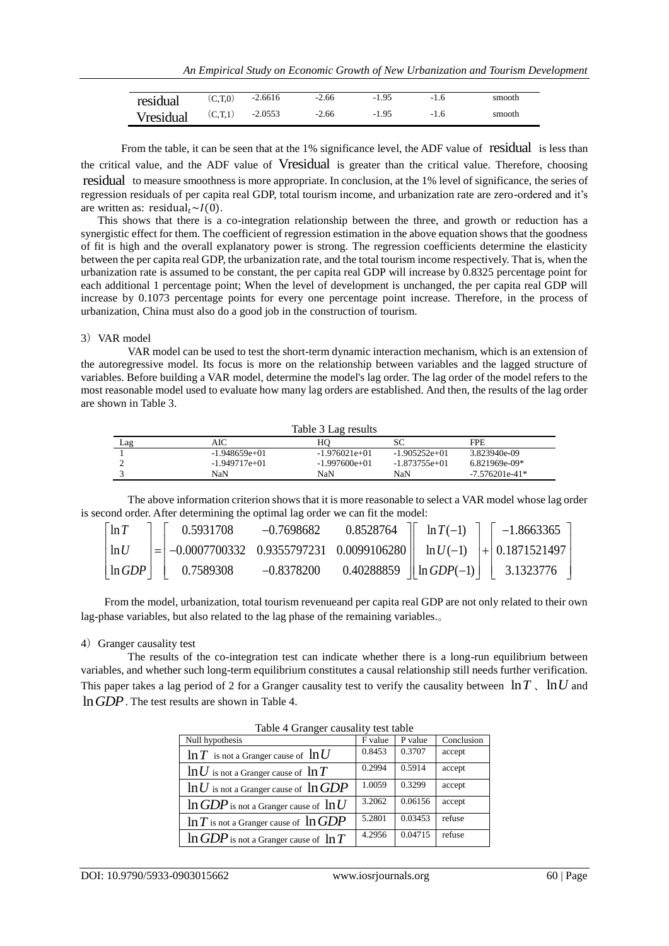| residual         | (C,T,0) | $-2.6616$ | $-2.66$ | $-1.95$ | $-1.6$ | smooth |
|------------------|---------|-----------|---------|---------|--------|--------|
| <b>Vresidual</b> | (C,T,1) | $-2.0553$ | $-2.66$ | $-1.95$ | $-1.6$ | smooth |

From the table, it can be seen that at the 1% significance level, the ADF value of residual is less than the critical value, and the ADF value of Vresidual is greater than the critical value. Therefore, choosing residual to measure smoothness is more appropriate. In conclusion, at the 1% level of significance, the series of regression residuals of per capita real GDP, total tourism income, and urbanization rate are zero-ordered and it's are written as: residual,  $\sim I(0)$ .

This shows that there is a co-integration relationship between the three, and growth or reduction has a synergistic effect for them. The coefficient of regression estimation in the above equation shows that the goodness of fit is high and the overall explanatory power is strong. The regression coefficients determine the elasticity between the per capita real GDP, the urbanization rate, and the total tourism income respectively. That is, when the urbanization rate is assumed to be constant, the per capita real GDP will increase by 0.8325 percentage point for each additional 1 percentage point; When the level of development is unchanged, the per capita real GDP will increase by 0.1073 percentage points for every one percentage point increase. Therefore, in the process of urbanization, China must also do a good job in the construction of tourism.

# 3) VAR model

VAR model can be used to test the short-term dynamic interaction mechanism, which is an extension of the autoregressive model. Its focus is more on the relationship between variables and the lagged structure of variables. Before building a VAR model, determine the model's lag order. The lag order of the model refers to the most reasonable model used to evaluate how many lag orders are established. And then, the results of the lag order are shown in Table 3.

| Table 3 Lag results |                 |                 |                 |                  |  |  |  |
|---------------------|-----------------|-----------------|-----------------|------------------|--|--|--|
| Lag                 | AIC             | HО              | SС              | <b>FPE</b>       |  |  |  |
|                     | $-1.948659e+01$ | $-1.976021e+01$ | $-1.905252e+01$ | 3.823940e-09     |  |  |  |
|                     | $-1.949717e+01$ | $-1.997600e+01$ | $-1.873755e+01$ | 6.821969e-09*    |  |  |  |
|                     | NaN             | NaN             | NaN             | $-7.576201e-41*$ |  |  |  |

|                       | NaN                                                                                                    | NaN | NaN |  | $-7.576201e-41*$                                                                                                        |  |  |  |
|-----------------------|--------------------------------------------------------------------------------------------------------|-----|-----|--|-------------------------------------------------------------------------------------------------------------------------|--|--|--|
|                       | The above information criterion shows that it is more reasonable to select a VAR model whose lag order |     |     |  |                                                                                                                         |  |  |  |
|                       | cond order. After determining the optimal lag order we can fit the model:                              |     |     |  |                                                                                                                         |  |  |  |
| $\lceil \ln T \rceil$ |                                                                                                        |     |     |  | $0.5931708$ -0.7698682 0.8528764 $\begin{bmatrix} \ln T(-1) \end{bmatrix}$ -1.8663365 $\begin{bmatrix} \n\end{bmatrix}$ |  |  |  |
| ln U                  | $=$                                                                                                    |     |     |  | $\vert$ -0.0007700332 0.9355797231 0.0099106280 $\vert\vert$ ln $U(-1)$ $\vert + \vert$ 0.1871521497                    |  |  |  |
| $\ln GDP$             | 0.7589308                                                                                              |     |     |  | $-0.8378200$ $0.40288859$ $\parallel$ ln $GDP(-1)$ $\parallel$ 3.1323776 $\parallel$                                    |  |  |  |
|                       |                                                                                                        |     |     |  |                                                                                                                         |  |  |  |

From the model, urbanization, total tourism revenueand per capita real GDP are not only related to their own lag-phase variables, but also related to the lag phase of the remaining variables.。

#### 4) Granger causality test

The results of the co-integration test can indicate whether there is a long-run equilibrium between variables, and whether such long-term equilibrium constitutes a causal relationship still needs further verification. This paper takes a lag period of 2 for a Granger causality test to verify the causality between  $\ln T$ ,  $\ln U$  and ln*GDP* . The test results are shown in Table 4.

| $\cdots$                                    |         |         |            |  |  |
|---------------------------------------------|---------|---------|------------|--|--|
| Null hypothesis                             | F value | P value | Conclusion |  |  |
| $\ln T$ is not a Granger cause of $\ln U$   | 0.8453  | 0.3707  | accept     |  |  |
| $\ln U$ is not a Granger cause of $\ln T$   | 0.2994  | 0.5914  | accept     |  |  |
| $\ln U$ is not a Granger cause of $\ln GDP$ | 1.0059  | 0.3299  | accept     |  |  |
| $\ln GDP$ is not a Granger cause of $\ln U$ | 3.2062  | 0.06156 | accept     |  |  |
| $\ln T$ is not a Granger cause of $\ln GDP$ | 5.2801  | 0.03453 | refuse     |  |  |
| $\ln GDP$ is not a Granger cause of $\ln T$ | 4.2956  | 0.04715 | refuse     |  |  |

Table 4 Granger causality test table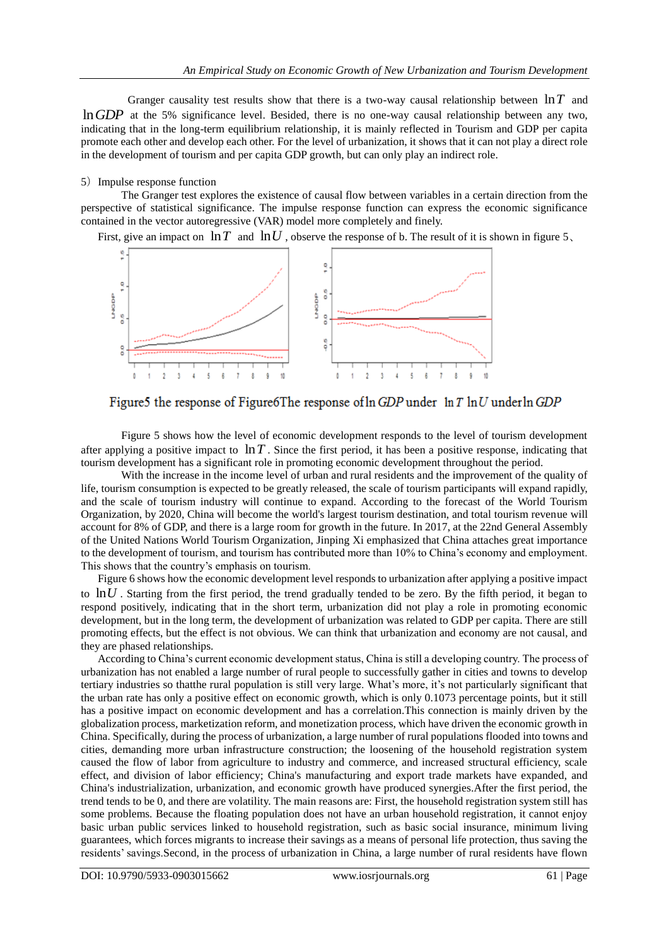Granger causality test results show that there is a two-way causal relationship between ln*T* and ln*GDP* at the 5% significance level. Besided, there is no one-way causal relationship between any two, indicating that in the long-term equilibrium relationship, it is mainly reflected in Tourism and GDP per capita promote each other and develop each other. For the level of urbanization, it shows that it can not play a direct role in the development of tourism and per capita GDP growth, but can only play an indirect role.

## 5) Impulse response function

The Granger test explores the existence of causal flow between variables in a certain direction from the perspective of statistical significance. The impulse response function can express the economic significance contained in the vector autoregressive (VAR) model more completely and finely.

First, give an impact on  $\ln T$  and  $\ln U$ , observe the response of b. The result of it is shown in figure 5,



Figure 5 the response of Figure 6The response of  $\ln GDP$  under  $\ln T \ln U$  under  $\ln GDP$ 

Figure 5 shows how the level of economic development responds to the level of tourism development after applying a positive impact to  $\ln T$ . Since the first period, it has been a positive response, indicating that tourism development has a significant role in promoting economic development throughout the period.

With the increase in the income level of urban and rural residents and the improvement of the quality of life, tourism consumption is expected to be greatly released, the scale of tourism participants will expand rapidly, and the scale of tourism industry will continue to expand. According to the forecast of the World Tourism Organization, by 2020, China will become the world's largest tourism destination, and total tourism revenue will account for 8% of GDP, and there is a large room for growth in the future. In 2017, at the 22nd General Assembly of the United Nations World Tourism Organization, Jinping Xi emphasized that China attaches great importance to the development of tourism, and tourism has contributed more than 10% to China's economy and employment. This shows that the country's emphasis on tourism.

Figure 6 shows how the economic development level responds to urbanization after applying a positive impact to  $\ln U$ . Starting from the first period, the trend gradually tended to be zero. By the fifth period, it began to respond positively, indicating that in the short term, urbanization did not play a role in promoting economic development, but in the long term, the development of urbanization was related to GDP per capita. There are still promoting effects, but the effect is not obvious. We can think that urbanization and economy are not causal, and they are phased relationships.

According to China's current economic development status, China is still a developing country. The process of urbanization has not enabled a large number of rural people to successfully gather in cities and towns to develop tertiary industries so thatthe rural population is still very large. What's more, it's not particularly significant that the urban rate has only a positive effect on economic growth, which is only 0.1073 percentage points, but it still has a positive impact on economic development and has a correlation.This connection is mainly driven by the globalization process, marketization reform, and monetization process, which have driven the economic growth in China. Specifically, during the process of urbanization, a large number of rural populations flooded into towns and cities, demanding more urban infrastructure construction; the loosening of the household registration system caused the flow of labor from agriculture to industry and commerce, and increased structural efficiency, scale effect, and division of labor efficiency; China's manufacturing and export trade markets have expanded, and China's industrialization, urbanization, and economic growth have produced synergies.After the first period, the trend tends to be 0, and there are volatility. The main reasons are: First, the household registration system still has some problems. Because the floating population does not have an urban household registration, it cannot enjoy basic urban public services linked to household registration, such as basic social insurance, minimum living guarantees, which forces migrants to increase their savings as a means of personal life protection, thus saving the residents' savings.Second, in the process of urbanization in China, a large number of rural residents have flown